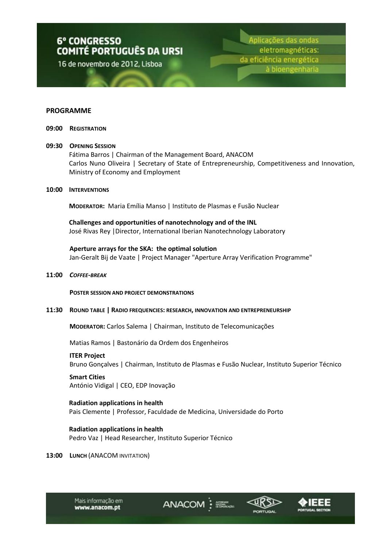16 de novembro de 2012, Lisboa

Aplicações das ondas eletromagnéticas: da eficiência energética à bioengenharia

#### **PROGRAMME**

**09:00 REGISTRATION**

#### **09:30 OPENING SESSION**

Fátima Barros | Chairman of the Management Board, ANACOM Carlos Nuno Oliveira | Secretary of State of Entrepreneurship, Competitiveness and Innovation, Ministry of Economy and Employment

#### **10:00 INTERVENTIONS**

**MODERATOR:** Maria Emília Manso | Instituto de Plasmas e Fusão Nuclear

#### **Challenges and opportunities of nanotechnology and of the INL**

José Rivas Rey |Director, International Iberian Nanotechnology Laboratory

#### **Aperture arrays for the SKA: the optimal solution**

Jan-Geralt Bij de Vaate | Project Manager "Aperture Array Verification Programme"

**11:00** *COFFEE-BREAK*

**POSTER SESSION AND PROJECT DEMONSTRATIONS**

**11:30 ROUND TABLE | RADIO FREQUENCIES: RESEARCH, INNOVATION AND ENTREPRENEURSHIP**

**MODERATOR:** Carlos Salema | Chairman, Instituto de Telecomunicações

Matias Ramos | Bastonário da Ordem dos Engenheiros

#### **ITER Project**

Bruno Gonçalves | Chairman, Instituto de Plasmas e Fusão Nuclear, Instituto Superior Técnico

ANACOM :

**Smart Cities** António Vidigal | CEO, EDP Inovação

# **Radiation applications in health** Pais Clemente | Professor, Faculdade de Medicina, Universidade do Porto

**Radiation applications in health** Pedro Vaz | Head Researcher, Instituto Superior Técnico

**13:00 LUNCH** (ANACOM INVITATION)



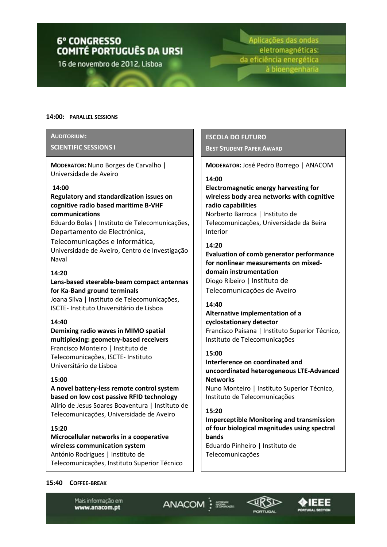16 de novembro de 2012, Lisboa

Aplicações das ondas eletromagnéticas: da eficiência energética à bioengenharia

#### **14:00: PARALLEL SESSIONS**

#### **AUDITORIUM:**

#### **SCIENTIFIC SESSIONS I**

**MODERATOR:** Nuno Borges de Carvalho | Universidade de Aveiro

#### **14:00**

# **Regulatory and standardization issues on cognitive radio based maritime B-VHF communications**

Eduardo Bolas | Instituto de Telecomunicações, Departamento de Electrónica,

Telecomunicações e Informática, Universidade de Aveiro, Centro de Investigação Naval

### **14:20**

# **Lens-based steerable-beam compact antennas for Ka-Band ground terminals**

Joana Silva | Instituto de Telecomunicações, ISCTE- Instituto Universitário de Lisboa

# **14:40**

**Demixing radio waves in MIMO spatial multiplexing: geometry-based receivers** Francisco Monteiro | Instituto de Telecomunicações, ISCTE- Instituto Universitário de Lisboa

# **15:00**

**A novel battery-less remote control system based on low cost passive RFID technology**  Alírio de Jesus Soares Boaventura | Instituto de Telecomunicações, Universidade de Aveiro

# **15:20**

**Microcellular networks in a cooperative wireless communication system** António Rodrigues | Instituto de Telecomunicações, Instituto Superior Técnico

# **ESCOLA DO FUTURO BEST STUDENT PAPER AWARD**

**MODERATOR:** José Pedro Borrego | ANACOM

#### **14:00**

**Electromagnetic energy harvesting for wireless body area networks with cognitive radio capabilities** Norberto Barroca | Instituto de Telecomunicações, Universidade da Beira Interior

# **14:20**

**Evaluation of comb generator performance for nonlinear measurements on mixeddomain instrumentation** Diogo Ribeiro | Instituto de Telecomunicações de Aveiro

#### **14:40**

# **Alternative implementation of a cyclostationary detector**  Francisco Paisana | Instituto Superior Técnico, Instituto de Telecomunicações

#### **15:00**

**Interference on coordinated and uncoordinated heterogeneous LTE-Advanced Networks**  Nuno Monteiro | Instituto Superior Técnico, Instituto de Telecomunicações

# **15:20**

ANACOM :

**Imperceptible Monitoring and transmission of four biological magnitudes using spectral bands**  Eduardo Pinheiro | Instituto de

Telecomunicações



Mais informação em www.anacom.pt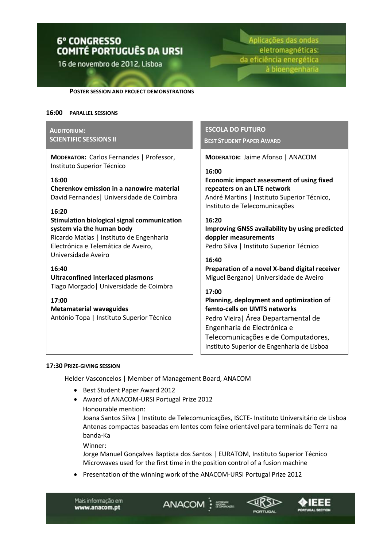16 de novembro de 2012, Lisboa

Aplicações das ondas eletromagnéticas: da eficiência energética à bioengenharia

**POSTER SESSION AND PROJECT DEMONSTRATIONS**

#### **16:00 PARALLEL SESSIONS**

# **AUDITORIUM: SCIENTIFIC SESSIONS II**

**MODERATOR:** Carlos Fernandes | Professor, Instituto Superior Técnico

# **16:00**

**Cherenkov emission in a nanowire material**  David Fernandes| Universidade de Coimbra

#### **16:20**

**Stimulation biological signal communication system via the human body** Ricardo Matias | Instituto de Engenharia Electrónica e Telemática de Aveiro, Universidade Aveiro

#### **16:40**

**Ultraconfined interlaced plasmons**  Tiago Morgado| Universidade de Coimbra

**17:00 Metamaterial waveguides**  António Topa | Instituto Superior Técnico

# **ESCOLA DO FUTURO**

**BEST STUDENT PAPER AWARD**

**MODERATOR:** Jaime Afonso | ANACOM

#### **16:00**

**Economic impact assessment of using fixed repeaters on an LTE network** André Martins | Instituto Superior Técnico, Instituto de Telecomunicações

#### **16:20**

**Improving GNSS availability by using predicted doppler measurements**  Pedro Silva | Instituto Superior Técnico

#### **16:40**

**Preparation of a novel X-band digital receiver** Miguel Bergano| Universidade de Aveiro

# **17:00**

**Planning, deployment and optimization of femto-cells on UMTS networks** Pedro Vieira| Área Departamental de Engenharia de Electrónica e Telecomunicações e de Computadores, Instituto Superior de Engenharia de Lisboa

#### **17:30 PRIZE-GIVING SESSION**

Helder Vasconcelos | Member of Management Board, ANACOM

- Best Student Paper Award 2012
- Award of ANACOM-URSI Portugal Prize 2012
	- Honourable mention:

Joana Santos Silva | Instituto de Telecomunicações, ISCTE- Instituto Universitário de Lisboa Antenas compactas baseadas em lentes com feixe orientável para terminais de Terra na banda-Ka

Winner:

Jorge Manuel Gonçalves Baptista dos Santos | EURATOM, Instituto Superior Técnico Microwaves used for the first time in the position control of a fusion machine

ANACOM :

Presentation of the winning work of the ANACOM-URSI Portugal Prize 2012

Mais informação em www.anacom.pt